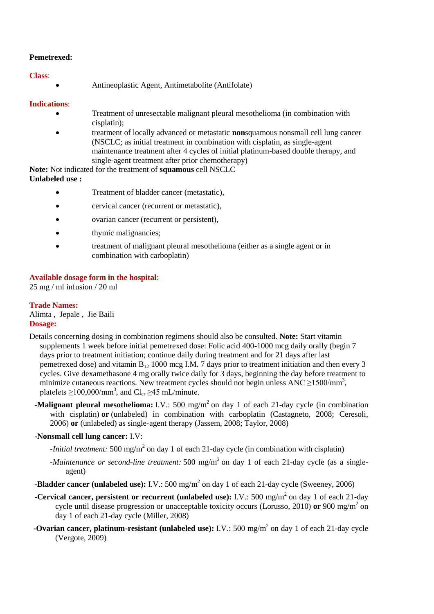### **Pemetrexed:**

#### **Class**:

Antineoplastic Agent, Antimetabolite (Antifolate)

#### **Indications**:

- Treatment of unresectable malignant pleural mesothelioma (in combination with cisplatin);
- treatment of locally advanced or metastatic **non**squamous nonsmall cell lung cancer (NSCLC; as initial treatment in combination with cisplatin, as single-agent maintenance treatment after 4 cycles of initial platinum-based double therapy, and single-agent treatment after prior chemotherapy)

**Note:** Not indicated for the treatment of **squamous** cell NSCLC **Unlabeled use :**

- Treatment of bladder cancer (metastatic),
- cervical cancer (recurrent or metastatic),
- ovarian cancer (recurrent or persistent),
- thymic malignancies;
- treatment of malignant pleural mesothelioma (either as a single agent or in combination with carboplatin)

#### **Available dosage form in the hospital**:

25 mg / ml infusion / 20 ml

### **Trade Names:**

Alimta , Jepale , Jie Baili **Dosage:**

- Details concerning dosing in combination regimens should also be consulted. **Note:** Start vitamin supplements 1 week before initial pemetrexed dose: Folic acid 400-1000 mcg daily orally (begin 7 days prior to treatment initiation; continue daily during treatment and for 21 days after last pemetrexed dose) and vitamin  $B_{12}$  1000 mcg I.M. 7 days prior to treatment initiation and then every 3 cycles. Give dexamethasone 4 mg orally twice daily for 3 days, beginning the day before treatment to minimize cutaneous reactions. New treatment cycles should not begin unless  $ANC \ge 1500/mm^3$ , platelets  $\geq$ 100,000/mm<sup>3</sup>, and Cl<sub>cr</sub>  $\geq$ 45 mL/minute.
	- **-Malignant pleural mesothelioma:** I.V.: 500 mg/m<sup>2</sup> on day 1 of each 21-day cycle (in combination with cisplatin) **or** (unlabeled) in combination with carboplatin (Castagneto, 2008; Ceresoli, 2006) **or** (unlabeled) as single-agent therapy (Jassem, 2008; Taylor, 2008)

#### **-Nonsmall cell lung cancer:** I.V:

- *-Initial treatment:* 500 mg/m<sup>2</sup> on day 1 of each 21-day cycle (in combination with cisplatin)
- *-Maintenance or second-line treatment:* 500 mg/m<sup>2</sup> on day 1 of each 21-day cycle (as a singleagent)
- **-Bladder cancer (unlabeled use):** I.V.: 500 mg/m<sup>2</sup> on day 1 of each 21-day cycle (Sweeney, 2006)
- **-Cervical cancer, persistent or recurrent (unlabeled use):** I.V.: 500 mg/m<sup>2</sup> on day 1 of each 21-day cycle until disease progression or unacceptable toxicity occurs (Lorusso, 2010) or 900 mg/m<sup>2</sup> on day 1 of each 21-day cycle (Miller, 2008)
- **-Ovarian cancer, platinum-resistant (unlabeled use):** I.V.: 500 mg/m<sup>2</sup> on day 1 of each 21-day cycle (Vergote, 2009)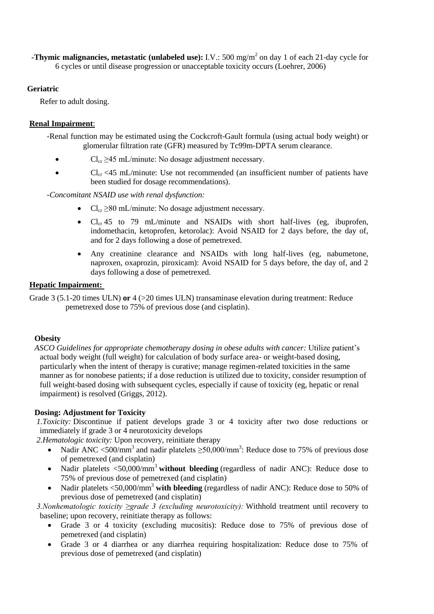**-Thymic malignancies, metastatic (unlabeled use):** I.V.: 500 mg/m<sup>2</sup> on day 1 of each 21-day cycle for 6 cycles or until disease progression or unacceptable toxicity occurs (Loehrer, 2006)

# **Geriatric**

Refer to adult dosing.

# **Renal Impairment**:

-Renal function may be estimated using the Cockcroft-Gault formula (using actual body weight) or glomerular filtration rate (GFR) measured by Tc99m-DPTA serum clearance.

- $\bullet$  Cl<sub>cr</sub> >45 mL/minute: No dosage adjustment necessary.
- $Cl_{cr}$  <45 mL/minute: Use not recommended (an insufficient number of patients have been studied for dosage recommendations).

*-Concomitant NSAID use with renal dysfunction:*

- $Cl_{cr} \geq 80 \text{ mL/minute}$ : No dosage adjustment necessary.
- $Cl_{cr}$  45 to 79 mL/minute and NSAIDs with short half-lives (eg, ibuprofen, indomethacin, ketoprofen, ketorolac): Avoid NSAID for 2 days before, the day of, and for 2 days following a dose of pemetrexed.
- Any creatinine clearance and NSAIDs with long half-lives (eg, nabumetone, naproxen, oxaprozin, piroxicam): Avoid NSAID for 5 days before, the day of, and 2 days following a dose of pemetrexed.

# **Hepatic Impairment:**

Grade 3 (5.1-20 times ULN) **or** 4 (> 20 times ULN) transaminase elevation during treatment: Reduce pemetrexed dose to 75% of previous dose (and cisplatin).

# **Obesity**

*ASCO Guidelines for appropriate chemotherapy dosing in obese adults with cancer:* Utilize patient's actual body weight (full weight) for calculation of body surface area- or weight-based dosing, particularly when the intent of therapy is curative; manage regimen-related toxicities in the same manner as for nonobese patients; if a dose reduction is utilized due to toxicity, consider resumption of full weight-based dosing with subsequent cycles, especially if cause of toxicity (eg, hepatic or renal impairment) is resolved (Griggs, 2012).

# **Dosing: Adjustment for Toxicity**

*1.Toxicity:* Discontinue if patient develops grade 3 or 4 toxicity after two dose reductions or immediately if grade 3 or 4 neurotoxicity develops

*2.Hematologic toxicity:* Upon recovery, reinitiate therapy

- Nadir ANC <500/mm<sup>3</sup> and nadir platelets  $\geq$ 50,000/mm<sup>3</sup>: Reduce dose to 75% of previous dose of pemetrexed (and cisplatin)
- Nadir platelets  $\langle 50,000/$ mm<sup>3</sup> without bleeding (regardless of nadir ANC): Reduce dose to 75% of previous dose of pemetrexed (and cisplatin)
- Nadir platelets <50,000/mm<sup>3</sup> with bleeding (regardless of nadir ANC): Reduce dose to 50% of previous dose of pemetrexed (and cisplatin)

*3.Nonhematologic toxicity ≥grade 3 (excluding neurotoxicity):* Withhold treatment until recovery to baseline; upon recovery, reinitiate therapy as follows:

- Grade 3 or 4 toxicity (excluding mucositis): Reduce dose to 75% of previous dose of pemetrexed (and cisplatin)
- Grade 3 or 4 diarrhea or any diarrhea requiring hospitalization: Reduce dose to 75% of previous dose of pemetrexed (and cisplatin)